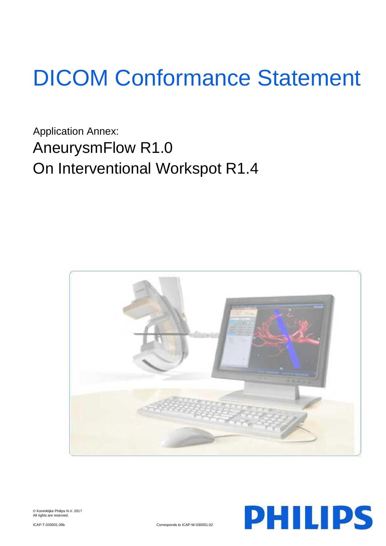# DICOM Conformance Statement

Application Annex: AneurysmFlow R1.0 On Interventional Workspot R1.4





© Koninklijke Philips N.V. 2017 All rights are reserved.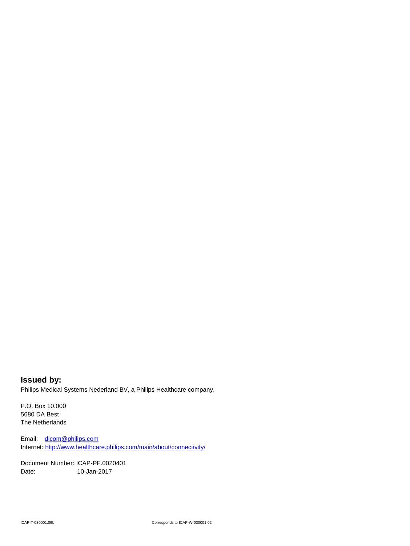**Issued by:** Philips Medical Systems Nederland BV, a Philips Healthcare company,

P.O. Box 10.000 5680 DA Best The Netherlands

Email: [dicom@philips.com](mailto:dicom@philips.com) Internet[: http://www.healthcare.philips.com/main/about/connectivity/](http://www.healthcare.philips.com/main/about/connectivity/)

Document Number: ICAP-PF.0020401 Date: 10-Jan-2017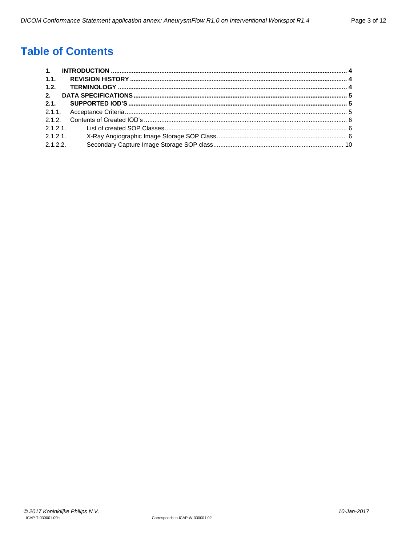# **Table of Contents**

| 1.1.    |  |
|---------|--|
| 1.2.    |  |
| 2.      |  |
| 2.1.    |  |
|         |  |
|         |  |
|         |  |
| 2.1.2.1 |  |
| 2.1.2.2 |  |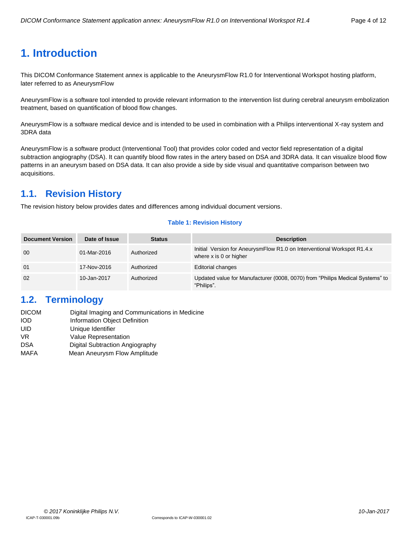# <span id="page-3-0"></span>**1. Introduction**

This DICOM Conformance Statement annex is applicable to the AneurysmFlow R1.0 for Interventional Workspot hosting platform, later referred to as AneurysmFlow

AneurysmFlow is a software tool intended to provide relevant information to the intervention list during cerebral aneurysm embolization treatment, based on quantification of blood flow changes.

AneurysmFlow is a software medical device and is intended to be used in combination with a Philips interventional X-ray system and 3DRA data

AneurysmFlow is a software product (Interventional Tool) that provides color coded and vector field representation of a digital subtraction angiography (DSA). It can quantify blood flow rates in the artery based on DSA and 3DRA data. It can visualize blood flow patterns in an aneurysm based on DSA data. It can also provide a side by side visual and quantitative comparison between two acquisitions.

# <span id="page-3-1"></span>**1.1. Revision History**

The revision history below provides dates and differences among individual document versions.

#### **Table 1: Revision History**

| <b>Document Version</b> | Date of Issue | <b>Status</b> | <b>Description</b>                                                                                |
|-------------------------|---------------|---------------|---------------------------------------------------------------------------------------------------|
| 00                      | 01-Mar-2016   | Authorized    | Initial Version for AneurysmFlow R1.0 on Interventional Workspot R1.4.x<br>where x is 0 or higher |
| 01                      | 17-Nov-2016   | Authorized    | <b>Editorial changes</b>                                                                          |
| 02                      | 10-Jan-2017   | Authorized    | Updated value for Manufacturer (0008, 0070) from "Philips Medical Systems" to<br>"Philips".       |

## <span id="page-3-2"></span>**1.2. Terminology**

| <b>DICOM</b> | Digital Imaging and Communications in Medicine |
|--------------|------------------------------------------------|
| <b>IOD</b>   | Information Object Definition                  |
| UID          | Unique Identifier                              |
| VR.          | <b>Value Representation</b>                    |
| <b>DSA</b>   | Digital Subtraction Angiography                |
| <b>MAFA</b>  | Mean Aneurysm Flow Amplitude                   |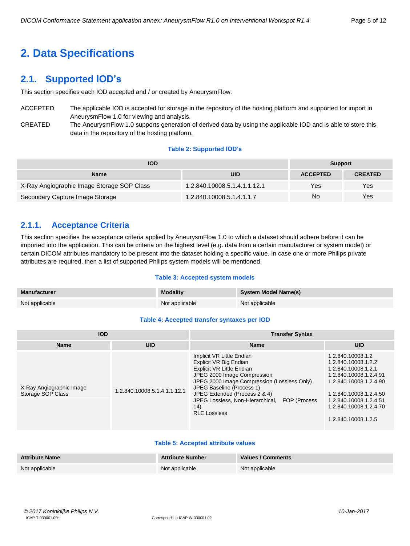# <span id="page-4-0"></span>**2. Data Specifications**

# <span id="page-4-1"></span>**2.1. Supported IOD's**

This section specifies each IOD accepted and / or created by AneurysmFlow.

- ACCEPTED The applicable IOD is accepted for storage in the repository of the hosting platform and supported for import in AneurysmFlow 1.0 for viewing and analysis.
- CREATED The AneurysmFlow 1.0 supports generation of derived data by using the applicable IOD and is able to store this data in the repository of the hosting platform.

#### **Table 2: Supported IOD's**

| <b>IOD</b>                                 | <b>Support</b>               |                 |                |
|--------------------------------------------|------------------------------|-----------------|----------------|
| <b>Name</b>                                | UID                          | <b>ACCEPTED</b> | <b>CREATED</b> |
| X-Ray Angiographic Image Storage SOP Class | 1.2.840.10008.5.1.4.1.1.12.1 | Yes             | Yes            |
| Secondary Capture Image Storage            | 1.2.840.10008.5.1.4.1.1.7    | No              | Yes            |

## <span id="page-4-2"></span>**2.1.1. Acceptance Criteria**

This section specifies the acceptance criteria applied by AneurysmFlow 1.0 to which a dataset should adhere before it can be imported into the application. This can be criteria on the highest level (e.g. data from a certain manufacturer or system model) or certain DICOM attributes mandatory to be present into the dataset holding a specific value. In case one or more Philips private attributes are required, then a list of supported Philips system models will be mentioned.

#### **Table 3: Accepted system models**

| <b>Manufacturer</b> | <b>Modality</b> | System Model Name(s) |
|---------------------|-----------------|----------------------|
| Not applicable      | Not applicable  | Not applicable       |

#### **Table 4: Accepted transfer syntaxes per IOD**

| <b>IOD</b>                                    |                              | <b>Transfer Syntax</b>                                                                                                                                                                                                                                                                                              |                                                                                                                                                                                                                          |  |  |
|-----------------------------------------------|------------------------------|---------------------------------------------------------------------------------------------------------------------------------------------------------------------------------------------------------------------------------------------------------------------------------------------------------------------|--------------------------------------------------------------------------------------------------------------------------------------------------------------------------------------------------------------------------|--|--|
| <b>UID</b><br><b>Name</b>                     |                              | <b>Name</b>                                                                                                                                                                                                                                                                                                         | <b>UID</b>                                                                                                                                                                                                               |  |  |
| X-Ray Angiographic Image<br>Storage SOP Class | 1.2.840.10008.5.1.4.1.1.12.1 | Implicit VR Little Endian<br>Explicit VR Big Endian<br><b>Explicit VR Little Endian</b><br>JPEG 2000 Image Compression<br>JPEG 2000 Image Compression (Lossless Only)<br>JPEG Baseline (Process 1)<br>JPEG Extended (Process 2 & 4)<br>JPEG Lossless, Non-Hierarchical, FOP (Process<br>(14)<br><b>RLE Lossless</b> | 1.2.840.10008.1.2<br>1.2.840.10008.1.2.2<br>1.2.840.10008.1.2.1<br>1.2.840.10008.1.2.4.91<br>1.2.840.10008.1.2.4.90<br>1.2.840.10008.1.2.4.50<br>1.2.840.10008.1.2.4.51<br>1.2.840.10008.1.2.4.70<br>1.2.840.10008.1.2.5 |  |  |

#### **Table 5: Accepted attribute values**

| <b>Attribute Name</b> | <b>Attribute Number</b> | Values / Comments |
|-----------------------|-------------------------|-------------------|
| Not applicable        | Not applicable          | Not applicable    |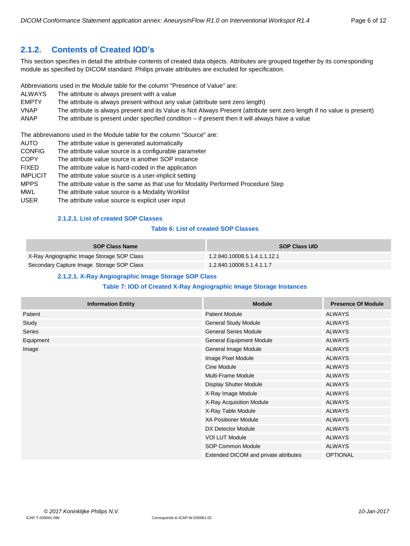# <span id="page-5-0"></span>**2.1.2. Contents of Created IOD's**

This section specifies in detail the attribute contents of created data objects. Attributes are grouped together by its corresponding module as specified by DICOM standard. Philips private attributes are excluded for specification.

Abbreviations used in the Module table for the column "Presence of Value" are:

- ALWAYS The attribute is always present with a value
- EMPTY The attribute is always present without any value (attribute sent zero length)
- VNAP The attribute is always present and its Value is Not Always Present (attribute sent zero length if no value is present)
- ANAP The attribute is present under specified condition if present then it will always have a value

The abbreviations used in the Module table for the column "Source" are:

- AUTO The attribute value is generated automatically CONFIG The attribute value source is a configurable parameter COPY The attribute value source is another SOP instance FIXED The attribute value is hard-coded in the application IMPLICIT The attribute value source is a user-implicit setting
- MPPS The attribute value is the same as that use for Modality Performed Procedure Step
- MWL The attribute value source is a Modality Worklist
- <span id="page-5-1"></span>USER The attribute value source is explicit user input

#### **2.1.2.1. List of created SOP Classes**

#### **Table 6: List of created SOP Classes**

| <b>SOP Class Name</b>                      | <b>SOP Class UID</b>         |
|--------------------------------------------|------------------------------|
| X-Ray Angiographic Image Storage SOP Class | 1.2.840.10008.5.1.4.1.1.12.1 |
| Secondary Capture Image Storage SOP Class  | 1.2.840.10008.5.1.4.1.1.7    |

#### **2.1.2.1. X-Ray Angiographic Image Storage SOP Class**

#### **Table 7: IOD of Created X-Ray Angiographic Image Storage Instances**

<span id="page-5-2"></span>

| <b>Information Entity</b> | <b>Module</b>                         | <b>Presence Of Module</b> |
|---------------------------|---------------------------------------|---------------------------|
| Patient                   | <b>Patient Module</b>                 | <b>ALWAYS</b>             |
| Study                     | General Study Module                  | <b>ALWAYS</b>             |
| Series                    | <b>General Series Module</b>          | <b>ALWAYS</b>             |
| Equipment                 | <b>General Equipment Module</b>       | <b>ALWAYS</b>             |
| Image                     | General Image Module                  | <b>ALWAYS</b>             |
|                           | Image Pixel Module                    | <b>ALWAYS</b>             |
|                           | Cine Module                           | <b>ALWAYS</b>             |
|                           | <b>Multi-Frame Module</b>             | <b>ALWAYS</b>             |
|                           | <b>Display Shutter Module</b>         | <b>ALWAYS</b>             |
|                           | X-Ray Image Module                    | <b>ALWAYS</b>             |
|                           | X-Ray Acquisition Module              | <b>ALWAYS</b>             |
|                           | X-Ray Table Module                    | <b>ALWAYS</b>             |
|                           | <b>XA Positioner Module</b>           | <b>ALWAYS</b>             |
|                           | DX Detector Module                    | <b>ALWAYS</b>             |
|                           | <b>VOI LUT Module</b>                 | <b>ALWAYS</b>             |
|                           | SOP Common Module                     | <b>ALWAYS</b>             |
|                           | Extended DICOM and private attributes | <b>OPTIONAL</b>           |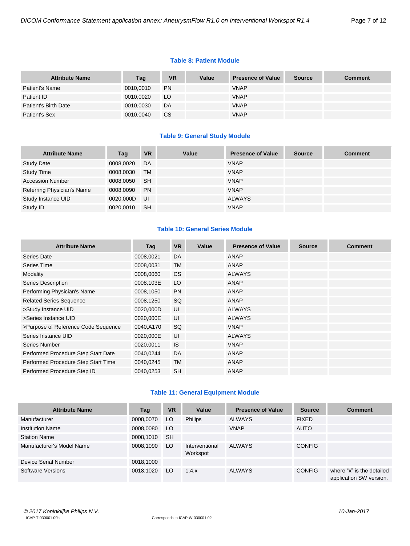#### **Table 8: Patient Module**

| <b>Attribute Name</b> | Tag       | <b>VR</b> | Value | <b>Presence of Value</b> | <b>Source</b> | <b>Comment</b> |
|-----------------------|-----------|-----------|-------|--------------------------|---------------|----------------|
| Patient's Name        | 0010,0010 | <b>PN</b> |       | <b>VNAP</b>              |               |                |
| Patient ID            | 0010,0020 | LO.       |       | <b>VNAP</b>              |               |                |
| Patient's Birth Date  | 0010,0030 | DA        |       | <b>VNAP</b>              |               |                |
| Patient's Sex         | 0010,0040 | CS        |       | <b>VNAP</b>              |               |                |

#### **Table 9: General Study Module**

| <b>Attribute Name</b>      | Tag       | <b>VR</b> | Value | <b>Presence of Value</b> | <b>Source</b> | <b>Comment</b> |
|----------------------------|-----------|-----------|-------|--------------------------|---------------|----------------|
| <b>Study Date</b>          | 0008,0020 | DA        |       | <b>VNAP</b>              |               |                |
| <b>Study Time</b>          | 0008,0030 | <b>TM</b> |       | <b>VNAP</b>              |               |                |
| <b>Accession Number</b>    | 0008,0050 | <b>SH</b> |       | <b>VNAP</b>              |               |                |
| Referring Physician's Name | 0008,0090 | <b>PN</b> |       | <b>VNAP</b>              |               |                |
| Study Instance UID         | 0020,000D | - UI      |       | ALWAYS                   |               |                |
| Study ID                   | 0020,0010 | <b>SH</b> |       | <b>VNAP</b>              |               |                |

#### **Table 10: General Series Module**

| <b>Attribute Name</b>               | Tag       | <b>VR</b> | Value | <b>Presence of Value</b> | <b>Source</b> | <b>Comment</b> |
|-------------------------------------|-----------|-----------|-------|--------------------------|---------------|----------------|
| Series Date                         | 0008,0021 | DA        |       | ANAP                     |               |                |
| Series Time                         | 0008,0031 | <b>TM</b> |       | <b>ANAP</b>              |               |                |
| Modality                            | 0008,0060 | <b>CS</b> |       | <b>ALWAYS</b>            |               |                |
| Series Description                  | 0008,103E | LO        |       | ANAP                     |               |                |
| Performing Physician's Name         | 0008,1050 | <b>PN</b> |       | <b>ANAP</b>              |               |                |
| <b>Related Series Sequence</b>      | 0008,1250 | SQ.       |       | ANAP                     |               |                |
| >Study Instance UID                 | 0020,000D | UI        |       | <b>ALWAYS</b>            |               |                |
| >Series Instance UID                | 0020,000E | UI        |       | <b>ALWAYS</b>            |               |                |
| >Purpose of Reference Code Sequence | 0040,A170 | SQ        |       | <b>VNAP</b>              |               |                |
| Series Instance UID                 | 0020,000E | UI        |       | <b>ALWAYS</b>            |               |                |
| Series Number                       | 0020,0011 | <b>IS</b> |       | <b>VNAP</b>              |               |                |
| Performed Procedure Step Start Date | 0040,0244 | <b>DA</b> |       | <b>ANAP</b>              |               |                |
| Performed Procedure Step Start Time | 0040,0245 | <b>TM</b> |       | ANAP                     |               |                |
| Performed Procedure Step ID         | 0040,0253 | <b>SH</b> |       | ANAP                     |               |                |

#### **Table 11: General Equipment Module**

| <b>Attribute Name</b>     | Tag       | <b>VR</b> | Value                      | <b>Presence of Value</b> | <b>Source</b> | <b>Comment</b>                                       |
|---------------------------|-----------|-----------|----------------------------|--------------------------|---------------|------------------------------------------------------|
| Manufacturer              | 0008,0070 | LO        | <b>Philips</b>             | <b>ALWAYS</b>            | <b>FIXED</b>  |                                                      |
| <b>Institution Name</b>   | 0008,0080 | LO        |                            | <b>VNAP</b>              | <b>AUTO</b>   |                                                      |
| <b>Station Name</b>       | 0008,1010 | <b>SH</b> |                            |                          |               |                                                      |
| Manufacturer's Model Name | 0008,1090 | LO        | Interventional<br>Workspot | <b>ALWAYS</b>            | <b>CONFIG</b> |                                                      |
| Device Serial Number      | 0018,1000 |           |                            |                          |               |                                                      |
| Software Versions         | 0018,1020 | LO.       | 1.4.x                      | <b>ALWAYS</b>            | <b>CONFIG</b> | where "x" is the detailed<br>application SW version. |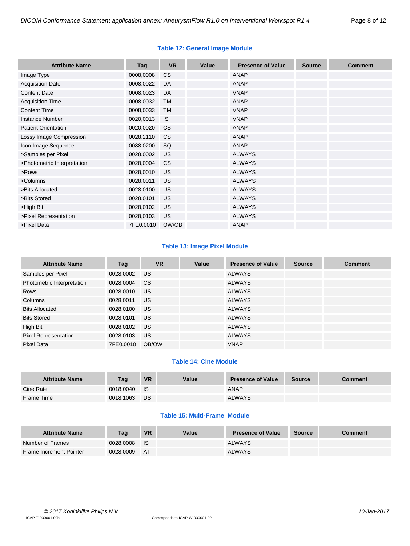| <b>Attribute Name</b>       | Tag       | <b>VR</b> | Value | <b>Presence of Value</b> | <b>Source</b> | <b>Comment</b> |
|-----------------------------|-----------|-----------|-------|--------------------------|---------------|----------------|
| Image Type                  | 0008,0008 | <b>CS</b> |       | <b>ANAP</b>              |               |                |
| <b>Acquisition Date</b>     | 0008,0022 | DA        |       | <b>ANAP</b>              |               |                |
| <b>Content Date</b>         | 0008,0023 | DA        |       | <b>VNAP</b>              |               |                |
| <b>Acquisition Time</b>     | 0008,0032 | <b>TM</b> |       | <b>ANAP</b>              |               |                |
| <b>Content Time</b>         | 0008,0033 | <b>TM</b> |       | <b>VNAP</b>              |               |                |
| <b>Instance Number</b>      | 0020,0013 | <b>IS</b> |       | <b>VNAP</b>              |               |                |
| <b>Patient Orientation</b>  | 0020,0020 | <b>CS</b> |       | <b>ANAP</b>              |               |                |
| Lossy Image Compression     | 0028,2110 | <b>CS</b> |       | ANAP                     |               |                |
| Icon Image Sequence         | 0088,0200 | SQ        |       | <b>ANAP</b>              |               |                |
| >Samples per Pixel          | 0028,0002 | <b>US</b> |       | <b>ALWAYS</b>            |               |                |
| >Photometric Interpretation | 0028,0004 | <b>CS</b> |       | <b>ALWAYS</b>            |               |                |
| >Rows                       | 0028,0010 | <b>US</b> |       | <b>ALWAYS</b>            |               |                |
| >Columns                    | 0028,0011 | <b>US</b> |       | <b>ALWAYS</b>            |               |                |
| >Bits Allocated             | 0028,0100 | <b>US</b> |       | <b>ALWAYS</b>            |               |                |
| >Bits Stored                | 0028,0101 | <b>US</b> |       | <b>ALWAYS</b>            |               |                |
| >High Bit                   | 0028,0102 | <b>US</b> |       | <b>ALWAYS</b>            |               |                |
| >Pixel Representation       | 0028,0103 | <b>US</b> |       | <b>ALWAYS</b>            |               |                |
| >Pixel Data                 | 7FE0,0010 | OW/OB     |       | <b>ANAP</b>              |               |                |

#### **Table 12: General Image Module**

#### **Table 13: Image Pixel Module**

| <b>Attribute Name</b>       | Tag       | <b>VR</b>       | Value | <b>Presence of Value</b> | <b>Source</b> | <b>Comment</b> |
|-----------------------------|-----------|-----------------|-------|--------------------------|---------------|----------------|
| Samples per Pixel           | 0028,0002 | US <sub>1</sub> |       | <b>ALWAYS</b>            |               |                |
| Photometric Interpretation  | 0028,0004 | CS.             |       | <b>ALWAYS</b>            |               |                |
| Rows                        | 0028,0010 | US.             |       | <b>ALWAYS</b>            |               |                |
| Columns                     | 0028,0011 | US.             |       | <b>ALWAYS</b>            |               |                |
| <b>Bits Allocated</b>       | 0028,0100 | US.             |       | <b>ALWAYS</b>            |               |                |
| <b>Bits Stored</b>          | 0028,0101 | US.             |       | <b>ALWAYS</b>            |               |                |
| High Bit                    | 0028,0102 | US.             |       | <b>ALWAYS</b>            |               |                |
| <b>Pixel Representation</b> | 0028,0103 | US.             |       | <b>ALWAYS</b>            |               |                |
| Pixel Data                  | 7FE0.0010 | OB/OW           |       | <b>VNAP</b>              |               |                |

### **Table 14: Cine Module**

| <b>Attribute Name</b> | Tag       | <b>VR</b>   | Value | <b>Presence of Value</b> | <b>Source</b> | <b>Comment</b> |
|-----------------------|-----------|-------------|-------|--------------------------|---------------|----------------|
| Cine Rate             | 0018.0040 | <b>I</b> IS |       | <b>ANAP</b>              |               |                |
| Frame Time            | 0018,1063 | <b>DS</b>   |       | <b>ALWAYS</b>            |               |                |

#### **Table 15: Multi-Frame Module**

| <b>Attribute Name</b>          | Taq       | <b>VR</b> | Value | <b>Presence of Value</b> | <b>Source</b> | <b>Comment</b> |
|--------------------------------|-----------|-----------|-------|--------------------------|---------------|----------------|
| Number of Frames               | 0028.0008 | - IS      |       | <b>ALWAYS</b>            |               |                |
| <b>Frame Increment Pointer</b> | 0028,0009 | - AT      |       | <b>ALWAYS</b>            |               |                |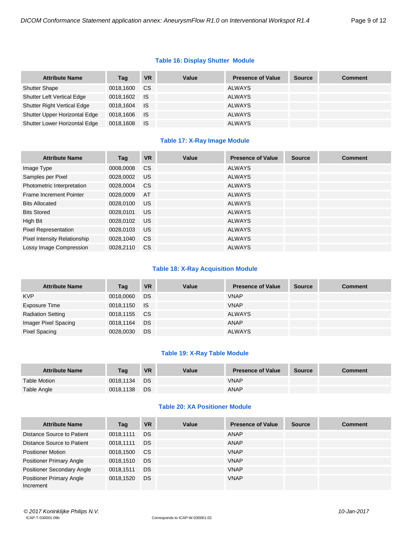#### **Table 16: Display Shutter Module**

| <b>Attribute Name</b>              | Tag       | VR        | Value | <b>Presence of Value</b> | <b>Source</b> | <b>Comment</b> |
|------------------------------------|-----------|-----------|-------|--------------------------|---------------|----------------|
| <b>Shutter Shape</b>               | 0018.1600 | <b>CS</b> |       | <b>ALWAYS</b>            |               |                |
| Shutter Left Vertical Edge         | 0018,1602 | <b>IS</b> |       | <b>ALWAYS</b>            |               |                |
| <b>Shutter Right Vertical Edge</b> | 0018.1604 | <b>IS</b> |       | <b>ALWAYS</b>            |               |                |
| Shutter Upper Horizontal Edge      | 0018,1606 | ⊟ IS.     |       | <b>ALWAYS</b>            |               |                |
| Shutter Lower Horizontal Edge      | 0018,1608 | ⊟S.       |       | <b>ALWAYS</b>            |               |                |

#### **Table 17: X-Ray Image Module**

| <b>Attribute Name</b>               | Tag       | <b>VR</b>     | Value | <b>Presence of Value</b> | <b>Source</b> | <b>Comment</b> |
|-------------------------------------|-----------|---------------|-------|--------------------------|---------------|----------------|
| Image Type                          | 0008,0008 | <b>CS</b>     |       | <b>ALWAYS</b>            |               |                |
| Samples per Pixel                   | 0028,0002 | US            |       | <b>ALWAYS</b>            |               |                |
| Photometric Interpretation          | 0028,0004 | <sub>CS</sub> |       | <b>ALWAYS</b>            |               |                |
| Frame Increment Pointer             | 0028,0009 | AT            |       | <b>ALWAYS</b>            |               |                |
| <b>Bits Allocated</b>               | 0028,0100 | <b>US</b>     |       | <b>ALWAYS</b>            |               |                |
| <b>Bits Stored</b>                  | 0028.0101 | US            |       | <b>ALWAYS</b>            |               |                |
| High Bit                            | 0028,0102 | <b>US</b>     |       | <b>ALWAYS</b>            |               |                |
| <b>Pixel Representation</b>         | 0028.0103 | <b>US</b>     |       | <b>ALWAYS</b>            |               |                |
| <b>Pixel Intensity Relationship</b> | 0028,1040 | <sub>CS</sub> |       | <b>ALWAYS</b>            |               |                |
| Lossy Image Compression             | 0028.2110 | <b>CS</b>     |       | <b>ALWAYS</b>            |               |                |

#### **Table 18: X-Ray Acquisition Module**

| <b>Attribute Name</b>    | Tag          | <b>VR</b> | Value | <b>Presence of Value</b> | <b>Source</b> | <b>Comment</b> |
|--------------------------|--------------|-----------|-------|--------------------------|---------------|----------------|
| <b>KVP</b>               | 0018,0060    | <b>DS</b> |       | <b>VNAP</b>              |               |                |
| Exposure Time            | 0018,1150 IS |           |       | <b>VNAP</b>              |               |                |
| <b>Radiation Setting</b> | 0018,1155 CS |           |       | <b>ALWAYS</b>            |               |                |
| Imager Pixel Spacing     | 0018,1164    | DS        |       | ANAP                     |               |                |
| Pixel Spacing            | 0028,0030    | DS        |       | <b>ALWAYS</b>            |               |                |

#### **Table 19: X-Ray Table Module**

| <b>Attribute Name</b> | Tag       | <b>VR</b> | Value | <b>Presence of Value</b> | <b>Source</b> | <b>Comment</b> |
|-----------------------|-----------|-----------|-------|--------------------------|---------------|----------------|
| <b>Table Motion</b>   | 0018.1134 | <b>DS</b> |       | <b>VNAP</b>              |               |                |
| Table Angle           | 0018,1138 | <b>DS</b> |       | <b>ANAP</b>              |               |                |

#### **Table 20: XA Positioner Module**

| <b>Attribute Name</b>                        | Tag       | <b>VR</b> | Value | <b>Presence of Value</b> | <b>Source</b> | <b>Comment</b> |
|----------------------------------------------|-----------|-----------|-------|--------------------------|---------------|----------------|
| Distance Source to Patient                   | 0018.1111 | <b>DS</b> |       | ANAP                     |               |                |
| Distance Source to Patient                   | 0018.1111 | <b>DS</b> |       | ANAP                     |               |                |
| <b>Positioner Motion</b>                     | 0018,1500 | <b>CS</b> |       | <b>VNAP</b>              |               |                |
| <b>Positioner Primary Angle</b>              | 0018,1510 | <b>DS</b> |       | <b>VNAP</b>              |               |                |
| <b>Positioner Secondary Angle</b>            | 0018.1511 | <b>DS</b> |       | <b>VNAP</b>              |               |                |
| <b>Positioner Primary Angle</b><br>Increment | 0018.1520 | <b>DS</b> |       | <b>VNAP</b>              |               |                |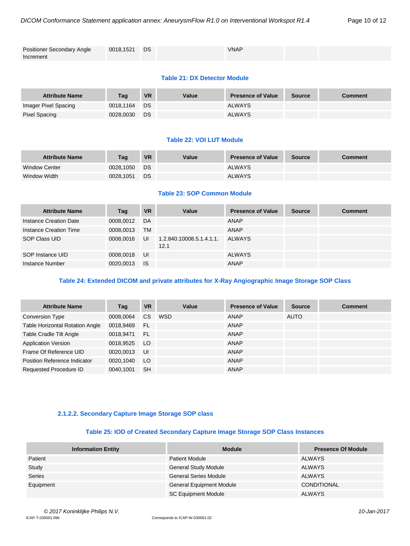| <b>Positioner Secondary Angle</b> | 0018,1521 | <b>DS</b> | <b>VNAP</b> |  |
|-----------------------------------|-----------|-----------|-------------|--|
| Increment                         |           |           |             |  |

#### **Table 21: DX Detector Module**

| <b>Attribute Name</b> | Taq       | <b>VR</b> | Value | <b>Presence of Value</b> | <b>Source</b> | <b>Comment</b> |
|-----------------------|-----------|-----------|-------|--------------------------|---------------|----------------|
| Imager Pixel Spacing  | 0018.1164 | DS        |       | <b>ALWAYS</b>            |               |                |
| Pixel Spacing         | 0028,0030 | <b>DS</b> |       | <b>ALWAYS</b>            |               |                |

#### **Table 22: VOI LUT Module**

| <b>Attribute Name</b> | Taq       | <b>VR</b> | Value | <b>Presence of Value</b> | <b>Source</b> | <b>Comment</b> |
|-----------------------|-----------|-----------|-------|--------------------------|---------------|----------------|
| <b>Window Center</b>  | 0028.1050 | DS.       |       | <b>ALWAYS</b>            |               |                |
| Window Width          | 0028.1051 | <b>DS</b> |       | <b>ALWAYS</b>            |               |                |

#### **Table 23: SOP Common Module**

| <b>Attribute Name</b>  | Tag       | <b>VR</b> | Value                            | <b>Presence of Value</b> | <b>Source</b> | <b>Comment</b> |
|------------------------|-----------|-----------|----------------------------------|--------------------------|---------------|----------------|
| Instance Creation Date | 0008.0012 | DA        |                                  | ANAP                     |               |                |
| Instance Creation Time | 0008,0013 | <b>TM</b> |                                  | ANAP                     |               |                |
| SOP Class UID          | 0008,0016 | UI        | 1.2.840.10008.5.1.4.1.1.<br>12.1 | <b>ALWAYS</b>            |               |                |
| SOP Instance UID       | 0008.0018 | UI        |                                  | <b>ALWAYS</b>            |               |                |
| Instance Number        | 0020,0013 | <b>IS</b> |                                  | <b>ANAP</b>              |               |                |

#### **Table 24: Extended DICOM and private attributes for X-Ray Angiographic Image Storage SOP Class**

| <b>Attribute Name</b>                  | Tag       | <b>VR</b> | Value      | <b>Presence of Value</b> | <b>Source</b> | <b>Comment</b> |
|----------------------------------------|-----------|-----------|------------|--------------------------|---------------|----------------|
| <b>Conversion Type</b>                 | 0008.0064 | <b>CS</b> | <b>WSD</b> | <b>ANAP</b>              | <b>AUTO</b>   |                |
| <b>Table Horizontal Rotation Angle</b> | 0018,9469 | FL        |            | <b>ANAP</b>              |               |                |
| Table Cradle Tilt Angle                | 0018.9471 | <b>FL</b> |            | ANAP                     |               |                |
| <b>Application Version</b>             | 0018,9525 | LO        |            | ANAP                     |               |                |
| Frame Of Reference UID                 | 0020.0013 | IJI       |            | <b>ANAP</b>              |               |                |
| Position Reference Indicator           | 0020,1040 | LO        |            | ANAP                     |               |                |
| Requested Procedure ID                 | 0040.1001 | <b>SH</b> |            | <b>ANAP</b>              |               |                |

#### **2.1.2.2. Secondary Capture Image Storage SOP class**

#### **Table 25: IOD of Created Secondary Capture Image Storage SOP Class Instances**

<span id="page-9-0"></span>

| <b>Information Entity</b> | <b>Module</b>                   | <b>Presence Of Module</b> |
|---------------------------|---------------------------------|---------------------------|
| Patient                   | <b>Patient Module</b>           | <b>ALWAYS</b>             |
| Study                     | <b>General Study Module</b>     | <b>ALWAYS</b>             |
| <b>Series</b>             | <b>General Series Module</b>    | ALWAYS                    |
| Equipment                 | <b>General Equipment Module</b> | <b>CONDITIONAL</b>        |
|                           | <b>SC Equipment Module</b>      | <b>ALWAYS</b>             |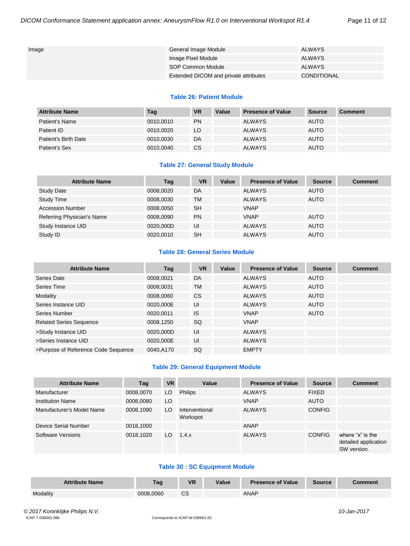| Image | General Image Module                  | <b>ALWAYS</b> |
|-------|---------------------------------------|---------------|
|       | Image Pixel Module                    | ALWAYS        |
|       | SOP Common Module                     | <b>ALWAYS</b> |
|       | Extended DICOM and private attributes | CONDITIONAL   |

#### **Table 26: Patient Module**

| <b>Attribute Name</b> | Tag       | <b>VR</b> | Value | <b>Presence of Value</b> | Source      | <b>Comment</b> |
|-----------------------|-----------|-----------|-------|--------------------------|-------------|----------------|
| Patient's Name        | 0010,0010 | <b>PN</b> |       | <b>ALWAYS</b>            | <b>AUTO</b> |                |
| Patient ID            | 0010.0020 | LO        |       | <b>ALWAYS</b>            | <b>AUTO</b> |                |
| Patient's Birth Date  | 0010,0030 | DA        |       | <b>ALWAYS</b>            | <b>AUTO</b> |                |
| Patient's Sex         | 0010,0040 | CS        |       | <b>ALWAYS</b>            | <b>AUTO</b> |                |

#### **Table 27: General Study Module**

| <b>Attribute Name</b>      | Tag       | <b>VR</b> | Value | <b>Presence of Value</b> | <b>Source</b> | <b>Comment</b> |
|----------------------------|-----------|-----------|-------|--------------------------|---------------|----------------|
| <b>Study Date</b>          | 0008,0020 | DA        |       | <b>ALWAYS</b>            | <b>AUTO</b>   |                |
| <b>Study Time</b>          | 0008,0030 | <b>TM</b> |       | <b>ALWAYS</b>            | <b>AUTO</b>   |                |
| <b>Accession Number</b>    | 0008.0050 | <b>SH</b> |       | <b>VNAP</b>              |               |                |
| Referring Physician's Name | 0008,0090 | <b>PN</b> |       | <b>VNAP</b>              | <b>AUTO</b>   |                |
| Study Instance UID         | 0020,000D | UI        |       | <b>ALWAYS</b>            | <b>AUTO</b>   |                |
| Study ID                   | 0020.0010 | <b>SH</b> |       | <b>ALWAYS</b>            | <b>AUTO</b>   |                |

#### **Table 28: General Series Module**

| <b>Attribute Name</b>               | Tag       | <b>VR</b> | Value | <b>Presence of Value</b> | <b>Source</b> | <b>Comment</b> |
|-------------------------------------|-----------|-----------|-------|--------------------------|---------------|----------------|
| Series Date                         | 0008,0021 | DA        |       | <b>ALWAYS</b>            | <b>AUTO</b>   |                |
| Series Time                         | 0008,0031 | <b>TM</b> |       | <b>ALWAYS</b>            | <b>AUTO</b>   |                |
| Modality                            | 0008,0060 | <b>CS</b> |       | <b>ALWAYS</b>            | <b>AUTO</b>   |                |
| Series Instance UID                 | 0020,000E | UI        |       | <b>ALWAYS</b>            | <b>AUTO</b>   |                |
| Series Number                       | 0020,0011 | <b>IS</b> |       | <b>VNAP</b>              | <b>AUTO</b>   |                |
| <b>Related Series Sequence</b>      | 0008,1250 | SQ        |       | <b>VNAP</b>              |               |                |
| >Study Instance UID                 | 0020,000D | UI        |       | <b>ALWAYS</b>            |               |                |
| >Series Instance UID                | 0020,000E | UI        |       | <b>ALWAYS</b>            |               |                |
| >Purpose of Reference Code Sequence | 0040.A170 | <b>SQ</b> |       | <b>EMPTY</b>             |               |                |

#### **Table 29: General Equipment Module**

| <b>Attribute Name</b>     | Tag       | <b>VR</b> | Value                      | <b>Presence of Value</b> | <b>Source</b> | <b>Comment</b>                                          |
|---------------------------|-----------|-----------|----------------------------|--------------------------|---------------|---------------------------------------------------------|
| Manufacturer              | 0008,0070 | LO.       | <b>Philips</b>             | <b>ALWAYS</b>            | <b>FIXED</b>  |                                                         |
| <b>Institution Name</b>   | 0008,0080 | LO        |                            | <b>VNAP</b>              | <b>AUTO</b>   |                                                         |
| Manufacturer's Model Name | 0008.1090 | LO        | Interventional<br>Workspot | <b>ALWAYS</b>            | <b>CONFIG</b> |                                                         |
| Device Serial Number      | 0018,1000 |           |                            | <b>ANAP</b>              |               |                                                         |
| Software Versions         | 0018.1020 | LO.       | 1.4.x                      | <b>ALWAYS</b>            | <b>CONFIG</b> | where "x" is the<br>detailed application<br>SW version. |

#### **Table 30 : SC Equipment Module**

| <b>Attribute Name</b> | Taq       | VR.     | Value | <b>Presence of Value</b> | <b>Source</b> | Comment |
|-----------------------|-----------|---------|-------|--------------------------|---------------|---------|
| Modality              | 0008.0060 | ົ<br>౿ు |       | <b>ANAP</b>              |               |         |